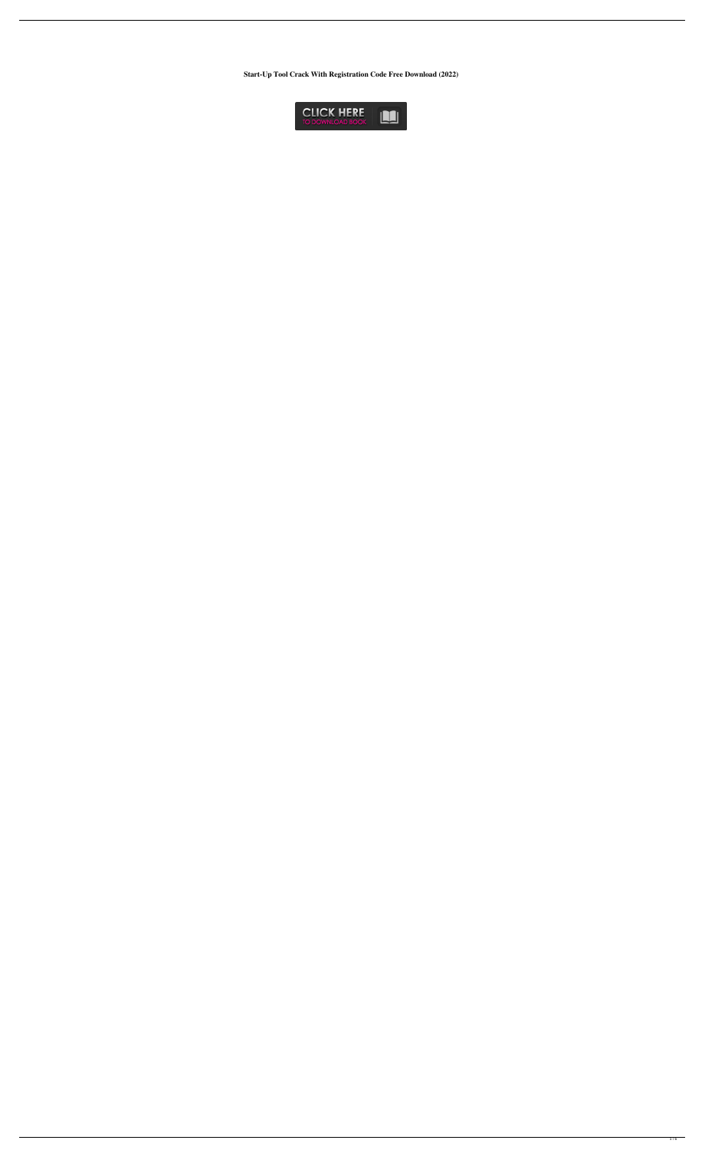**Start-Up Tool Crack With Registration Code Free Download (2022)**

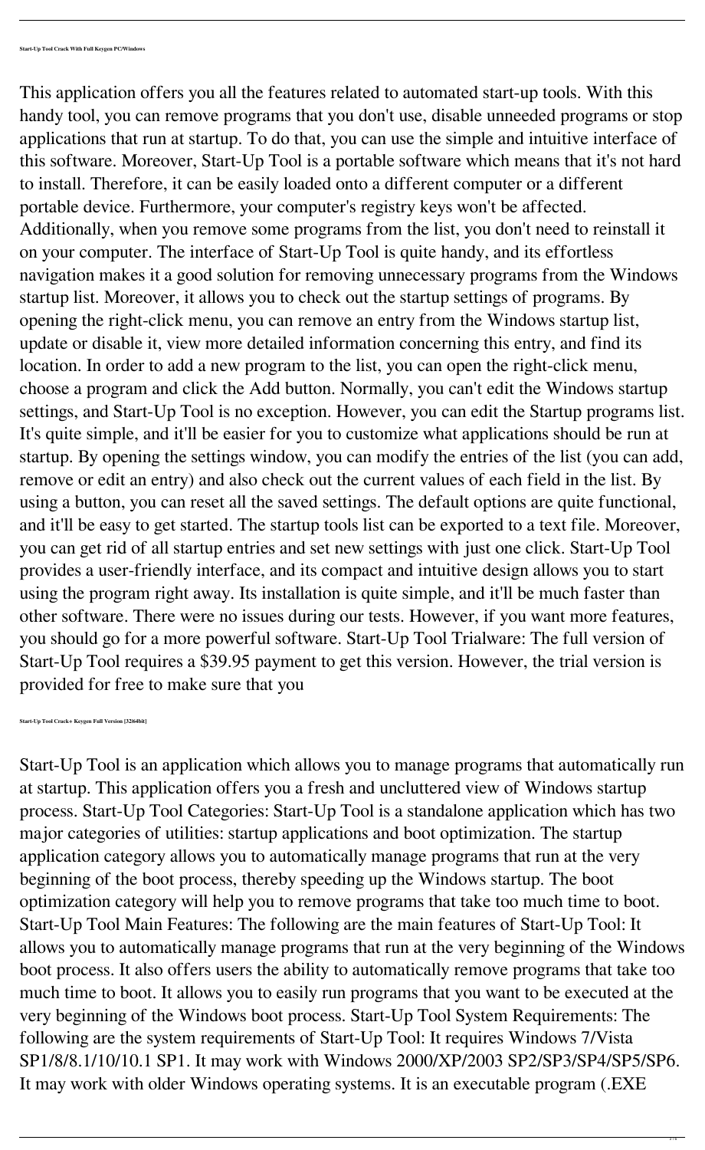This application offers you all the features related to automated start-up tools. With this handy tool, you can remove programs that you don't use, disable unneeded programs or stop applications that run at startup. To do that, you can use the simple and intuitive interface of this software. Moreover, Start-Up Tool is a portable software which means that it's not hard to install. Therefore, it can be easily loaded onto a different computer or a different portable device. Furthermore, your computer's registry keys won't be affected. Additionally, when you remove some programs from the list, you don't need to reinstall it on your computer. The interface of Start-Up Tool is quite handy, and its effortless navigation makes it a good solution for removing unnecessary programs from the Windows startup list. Moreover, it allows you to check out the startup settings of programs. By opening the right-click menu, you can remove an entry from the Windows startup list, update or disable it, view more detailed information concerning this entry, and find its location. In order to add a new program to the list, you can open the right-click menu, choose a program and click the Add button. Normally, you can't edit the Windows startup settings, and Start-Up Tool is no exception. However, you can edit the Startup programs list. It's quite simple, and it'll be easier for you to customize what applications should be run at startup. By opening the settings window, you can modify the entries of the list (you can add, remove or edit an entry) and also check out the current values of each field in the list. By using a button, you can reset all the saved settings. The default options are quite functional, and it'll be easy to get started. The startup tools list can be exported to a text file. Moreover, you can get rid of all startup entries and set new settings with just one click. Start-Up Tool provides a user-friendly interface, and its compact and intuitive design allows you to start using the program right away. Its installation is quite simple, and it'll be much faster than other software. There were no issues during our tests. However, if you want more features, you should go for a more powerful software. Start-Up Tool Trialware: The full version of Start-Up Tool requires a \$39.95 payment to get this version. However, the trial version is provided for free to make sure that you

**Start-Up Tool Crack+ Keygen Full Version [32|64bit]**

Start-Up Tool is an application which allows you to manage programs that automatically run at startup. This application offers you a fresh and uncluttered view of Windows startup process. Start-Up Tool Categories: Start-Up Tool is a standalone application which has two major categories of utilities: startup applications and boot optimization. The startup application category allows you to automatically manage programs that run at the very beginning of the boot process, thereby speeding up the Windows startup. The boot optimization category will help you to remove programs that take too much time to boot. Start-Up Tool Main Features: The following are the main features of Start-Up Tool: It allows you to automatically manage programs that run at the very beginning of the Windows boot process. It also offers users the ability to automatically remove programs that take too much time to boot. It allows you to easily run programs that you want to be executed at the very beginning of the Windows boot process. Start-Up Tool System Requirements: The following are the system requirements of Start-Up Tool: It requires Windows 7/Vista SP1/8/8.1/10/10.1 SP1. It may work with Windows 2000/XP/2003 SP2/SP3/SP4/SP5/SP6. It may work with older Windows operating systems. It is an executable program (.EXE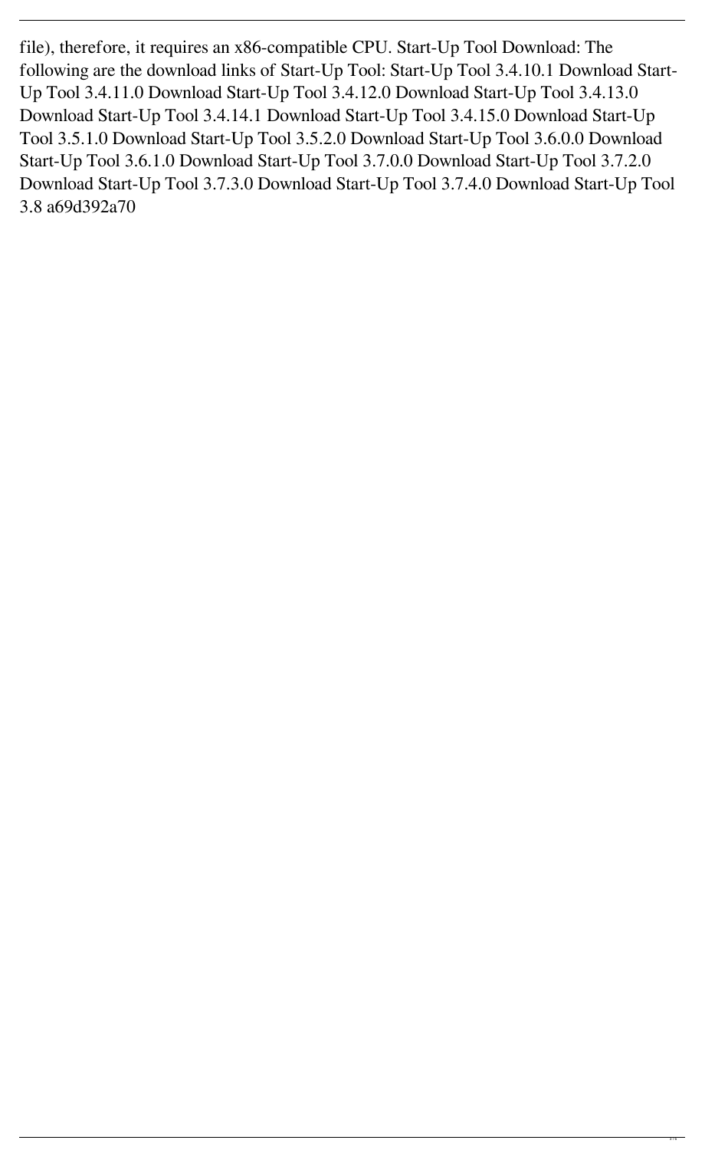file), therefore, it requires an x86-compatible CPU. Start-Up Tool Download: The following are the download links of Start-Up Tool: Start-Up Tool 3.4.10.1 Download Start-Up Tool 3.4.11.0 Download Start-Up Tool 3.4.12.0 Download Start-Up Tool 3.4.13.0 Download Start-Up Tool 3.4.14.1 Download Start-Up Tool 3.4.15.0 Download Start-Up Tool 3.5.1.0 Download Start-Up Tool 3.5.2.0 Download Start-Up Tool 3.6.0.0 Download Start-Up Tool 3.6.1.0 Download Start-Up Tool 3.7.0.0 Download Start-Up Tool 3.7.2.0 Download Start-Up Tool 3.7.3.0 Download Start-Up Tool 3.7.4.0 Download Start-Up Tool 3.8 a69d392a70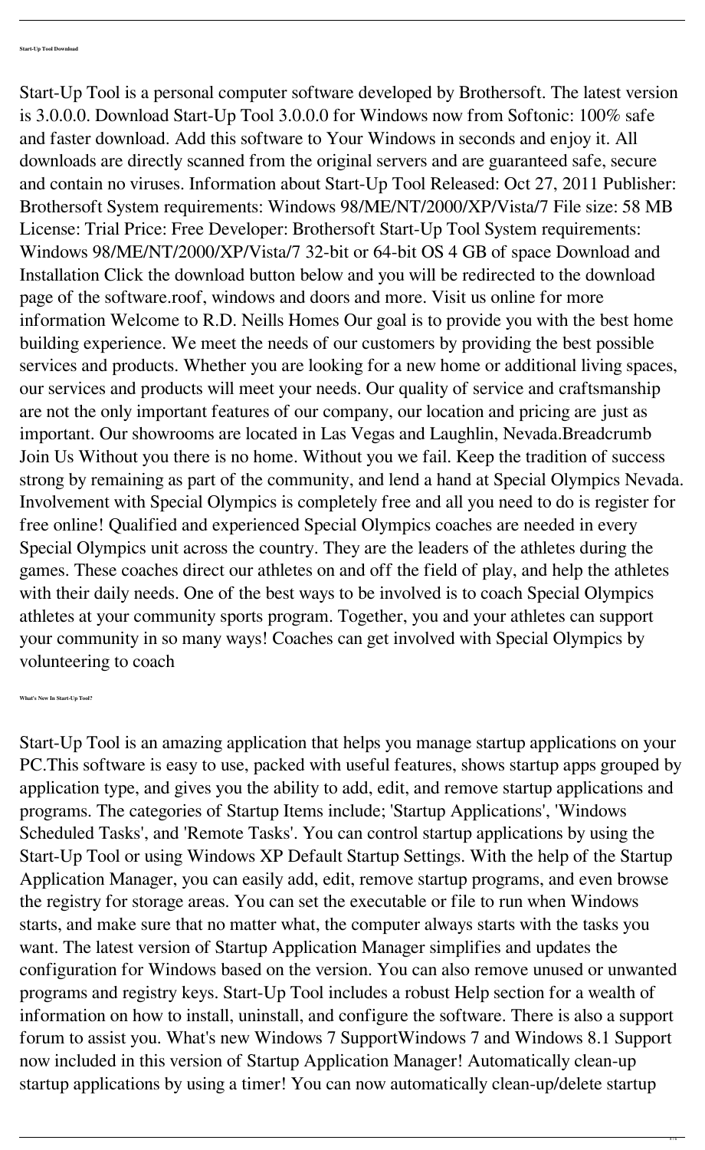Start-Up Tool is a personal computer software developed by Brothersoft. The latest version is 3.0.0.0. Download Start-Up Tool 3.0.0.0 for Windows now from Softonic: 100% safe and faster download. Add this software to Your Windows in seconds and enjoy it. All downloads are directly scanned from the original servers and are guaranteed safe, secure and contain no viruses. Information about Start-Up Tool Released: Oct 27, 2011 Publisher: Brothersoft System requirements: Windows 98/ME/NT/2000/XP/Vista/7 File size: 58 MB License: Trial Price: Free Developer: Brothersoft Start-Up Tool System requirements: Windows 98/ME/NT/2000/XP/Vista/7 32-bit or 64-bit OS 4 GB of space Download and Installation Click the download button below and you will be redirected to the download page of the software.roof, windows and doors and more. Visit us online for more information Welcome to R.D. Neills Homes Our goal is to provide you with the best home building experience. We meet the needs of our customers by providing the best possible services and products. Whether you are looking for a new home or additional living spaces, our services and products will meet your needs. Our quality of service and craftsmanship are not the only important features of our company, our location and pricing are just as important. Our showrooms are located in Las Vegas and Laughlin, Nevada.Breadcrumb Join Us Without you there is no home. Without you we fail. Keep the tradition of success strong by remaining as part of the community, and lend a hand at Special Olympics Nevada. Involvement with Special Olympics is completely free and all you need to do is register for free online! Qualified and experienced Special Olympics coaches are needed in every Special Olympics unit across the country. They are the leaders of the athletes during the games. These coaches direct our athletes on and off the field of play, and help the athletes with their daily needs. One of the best ways to be involved is to coach Special Olympics athletes at your community sports program. Together, you and your athletes can support your community in so many ways! Coaches can get involved with Special Olympics by volunteering to coach

**What's New In Start-Up Tool?**

Start-Up Tool is an amazing application that helps you manage startup applications on your PC.This software is easy to use, packed with useful features, shows startup apps grouped by application type, and gives you the ability to add, edit, and remove startup applications and programs. The categories of Startup Items include; 'Startup Applications', 'Windows Scheduled Tasks', and 'Remote Tasks'. You can control startup applications by using the Start-Up Tool or using Windows XP Default Startup Settings. With the help of the Startup Application Manager, you can easily add, edit, remove startup programs, and even browse the registry for storage areas. You can set the executable or file to run when Windows starts, and make sure that no matter what, the computer always starts with the tasks you want. The latest version of Startup Application Manager simplifies and updates the configuration for Windows based on the version. You can also remove unused or unwanted programs and registry keys. Start-Up Tool includes a robust Help section for a wealth of information on how to install, uninstall, and configure the software. There is also a support forum to assist you. What's new Windows 7 SupportWindows 7 and Windows 8.1 Support now included in this version of Startup Application Manager! Automatically clean-up startup applications by using a timer! You can now automatically clean-up/delete startup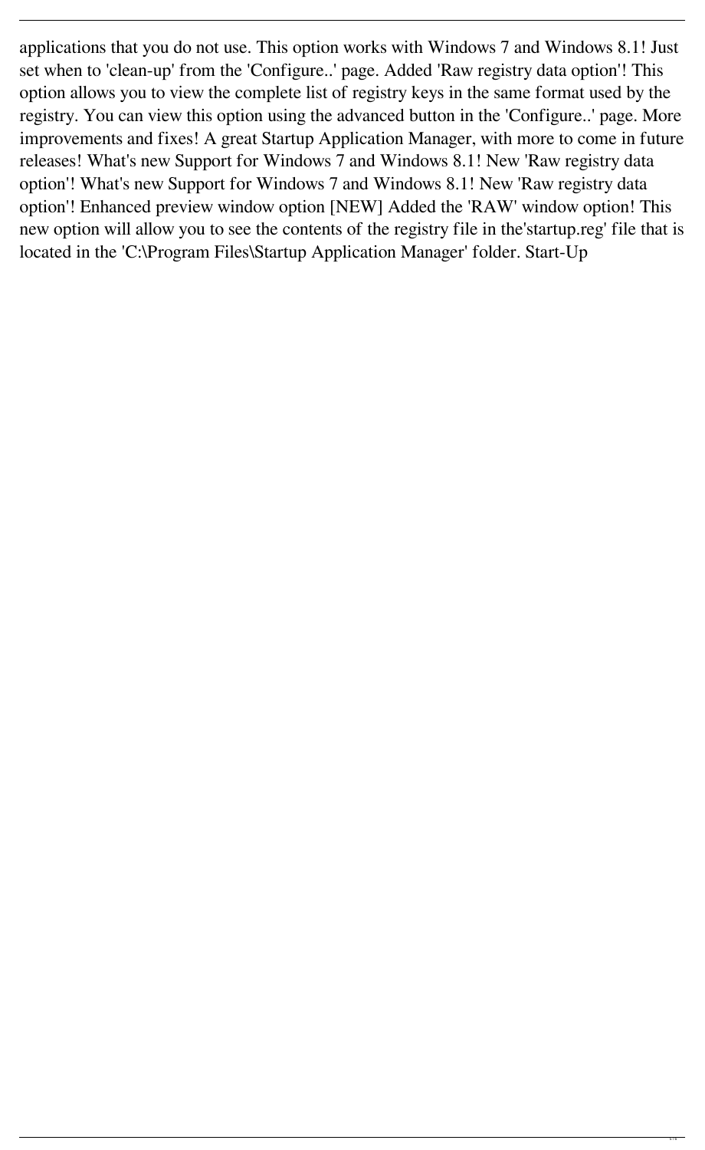applications that you do not use. This option works with Windows 7 and Windows 8.1! Just set when to 'clean-up' from the 'Configure..' page. Added 'Raw registry data option'! This option allows you to view the complete list of registry keys in the same format used by the registry. You can view this option using the advanced button in the 'Configure..' page. More improvements and fixes! A great Startup Application Manager, with more to come in future releases! What's new Support for Windows 7 and Windows 8.1! New 'Raw registry data option'! What's new Support for Windows 7 and Windows 8.1! New 'Raw registry data option'! Enhanced preview window option [NEW] Added the 'RAW' window option! This new option will allow you to see the contents of the registry file in the'startup.reg' file that is located in the 'C:\Program Files\Startup Application Manager' folder. Start-Up